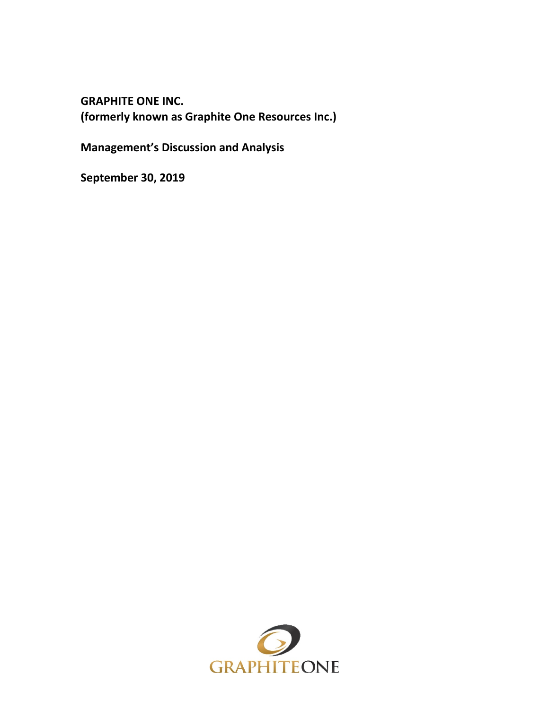**GRAPHITE ONE INC. (formerly known as Graphite One Resources Inc.)**

**Management's Discussion and Analysis**

**September 30, 2019**

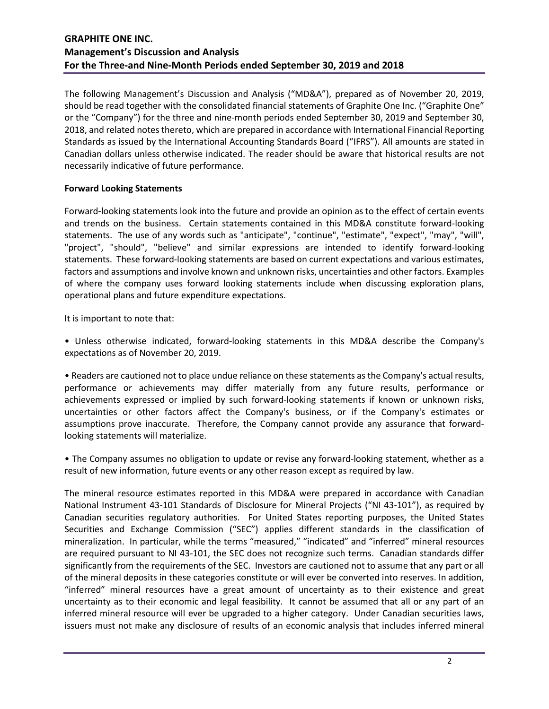The following Management's Discussion and Analysis ("MD&A"), prepared as of November 20, 2019, should be read together with the consolidated financial statements of Graphite One Inc. ("Graphite One" or the "Company") for the three and nine-month periods ended September 30, 2019 and September 30, 2018, and related notes thereto, which are prepared in accordance with International Financial Reporting Standards as issued by the International Accounting Standards Board ("IFRS"). All amounts are stated in Canadian dollars unless otherwise indicated. The reader should be aware that historical results are not necessarily indicative of future performance.

### **Forward Looking Statements**

Forward-looking statements look into the future and provide an opinion as to the effect of certain events and trends on the business. Certain statements contained in this MD&A constitute forward-looking statements. The use of any words such as "anticipate", "continue", "estimate", "expect", "may", "will", "project", "should", "believe" and similar expressions are intended to identify forward-looking statements. These forward-looking statements are based on current expectations and various estimates, factors and assumptions and involve known and unknown risks, uncertainties and other factors. Examples of where the company uses forward looking statements include when discussing exploration plans, operational plans and future expenditure expectations.

It is important to note that:

• Unless otherwise indicated, forward-looking statements in this MD&A describe the Company's expectations as of November 20, 2019.

• Readers are cautioned not to place undue reliance on these statements as the Company's actual results, performance or achievements may differ materially from any future results, performance or achievements expressed or implied by such forward-looking statements if known or unknown risks, uncertainties or other factors affect the Company's business, or if the Company's estimates or assumptions prove inaccurate. Therefore, the Company cannot provide any assurance that forwardlooking statements will materialize.

• The Company assumes no obligation to update or revise any forward-looking statement, whether as a result of new information, future events or any other reason except as required by law.

The mineral resource estimates reported in this MD&A were prepared in accordance with Canadian National Instrument 43-101 Standards of Disclosure for Mineral Projects ("NI 43-101"), as required by Canadian securities regulatory authorities. For United States reporting purposes, the United States Securities and Exchange Commission ("SEC") applies different standards in the classification of mineralization. In particular, while the terms "measured," "indicated" and "inferred" mineral resources are required pursuant to NI 43-101, the SEC does not recognize such terms. Canadian standards differ significantly from the requirements of the SEC. Investors are cautioned not to assume that any part or all of the mineral deposits in these categories constitute or will ever be converted into reserves. In addition, "inferred" mineral resources have a great amount of uncertainty as to their existence and great uncertainty as to their economic and legal feasibility. It cannot be assumed that all or any part of an inferred mineral resource will ever be upgraded to a higher category. Under Canadian securities laws, issuers must not make any disclosure of results of an economic analysis that includes inferred mineral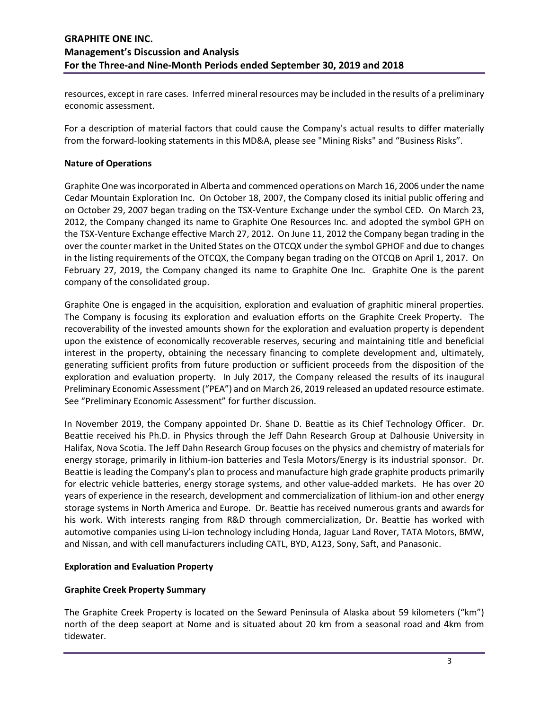resources, except in rare cases. Inferred mineral resources may be included in the results of a preliminary economic assessment.

For a description of material factors that could cause the Company's actual results to differ materially from the forward-looking statements in this MD&A, please see "Mining Risks" and "Business Risks".

### **Nature of Operations**

Graphite One was incorporated in Alberta and commenced operations on March 16, 2006 under the name Cedar Mountain Exploration Inc. On October 18, 2007, the Company closed its initial public offering and on October 29, 2007 began trading on the TSX-Venture Exchange under the symbol CED. On March 23, 2012, the Company changed its name to Graphite One Resources Inc. and adopted the symbol GPH on the TSX-Venture Exchange effective March 27, 2012. On June 11, 2012 the Company began trading in the over the counter market in the United States on the OTCQX under the symbol GPHOF and due to changes in the listing requirements of the OTCQX, the Company began trading on the OTCQB on April 1, 2017. On February 27, 2019, the Company changed its name to Graphite One Inc. Graphite One is the parent company of the consolidated group.

Graphite One is engaged in the acquisition, exploration and evaluation of graphitic mineral properties. The Company is focusing its exploration and evaluation efforts on the Graphite Creek Property. The recoverability of the invested amounts shown for the exploration and evaluation property is dependent upon the existence of economically recoverable reserves, securing and maintaining title and beneficial interest in the property, obtaining the necessary financing to complete development and, ultimately, generating sufficient profits from future production or sufficient proceeds from the disposition of the exploration and evaluation property. In July 2017, the Company released the results of its inaugural Preliminary Economic Assessment ("PEA") and on March 26, 2019 released an updated resource estimate. See "Preliminary Economic Assessment" for further discussion.

In November 2019, the Company appointed Dr. Shane D. Beattie as its Chief Technology Officer. Dr. Beattie received his Ph.D. in Physics through the Jeff Dahn Research Group at Dalhousie University in Halifax, Nova Scotia. The Jeff Dahn Research Group focuses on the physics and chemistry of materials for energy storage, primarily in lithium-ion batteries and Tesla Motors/Energy is its industrial sponsor. Dr. Beattie is leading the Company's plan to process and manufacture high grade graphite products primarily for electric vehicle batteries, energy storage systems, and other value-added markets. He has over 20 years of experience in the research, development and commercialization of lithium-ion and other energy storage systems in North America and Europe. Dr. Beattie has received numerous grants and awards for his work. With interests ranging from R&D through commercialization, Dr. Beattie has worked with automotive companies using Li-ion technology including Honda, Jaguar Land Rover, TATA Motors, BMW, and Nissan, and with cell manufacturers including CATL, BYD, A123, Sony, Saft, and Panasonic.

#### **Exploration and Evaluation Property**

# **Graphite Creek Property Summary**

The Graphite Creek Property is located on the Seward Peninsula of Alaska about 59 kilometers ("km") north of the deep seaport at Nome and is situated about 20 km from a seasonal road and 4km from tidewater.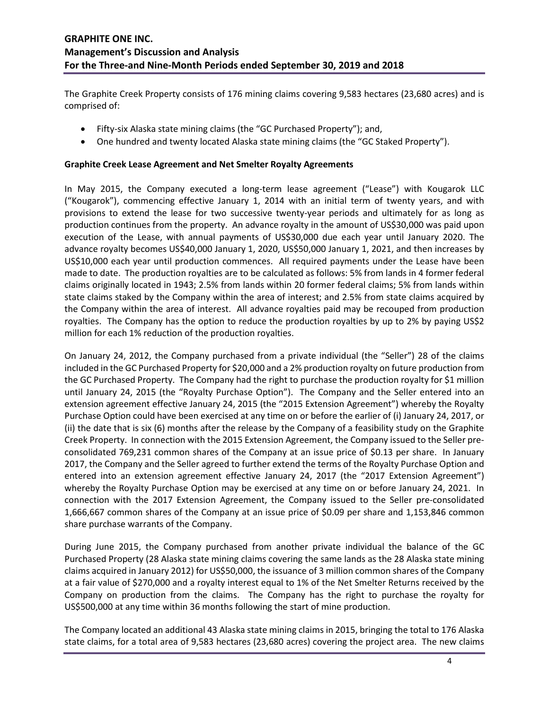The Graphite Creek Property consists of 176 mining claims covering 9,583 hectares (23,680 acres) and is comprised of:

- Fifty-six Alaska state mining claims (the "GC Purchased Property"); and,
- One hundred and twenty located Alaska state mining claims (the "GC Staked Property").

### **Graphite Creek Lease Agreement and Net Smelter Royalty Agreements**

In May 2015, the Company executed a long-term lease agreement ("Lease") with Kougarok LLC ("Kougarok"), commencing effective January 1, 2014 with an initial term of twenty years, and with provisions to extend the lease for two successive twenty-year periods and ultimately for as long as production continues from the property. An advance royalty in the amount of US\$30,000 was paid upon execution of the Lease, with annual payments of US\$30,000 due each year until January 2020. The advance royalty becomes US\$40,000 January 1, 2020, US\$50,000 January 1, 2021, and then increases by US\$10,000 each year until production commences. All required payments under the Lease have been made to date. The production royalties are to be calculated as follows: 5% from lands in 4 former federal claims originally located in 1943; 2.5% from lands within 20 former federal claims; 5% from lands within state claims staked by the Company within the area of interest; and 2.5% from state claims acquired by the Company within the area of interest. All advance royalties paid may be recouped from production royalties. The Company has the option to reduce the production royalties by up to 2% by paying US\$2 million for each 1% reduction of the production royalties.

On January 24, 2012, the Company purchased from a private individual (the "Seller") 28 of the claims included in the GC Purchased Property for \$20,000 and a 2% production royalty on future production from the GC Purchased Property. The Company had the right to purchase the production royalty for \$1 million until January 24, 2015 (the "Royalty Purchase Option"). The Company and the Seller entered into an extension agreement effective January 24, 2015 (the "2015 Extension Agreement") whereby the Royalty Purchase Option could have been exercised at any time on or before the earlier of (i) January 24, 2017, or (ii) the date that is six (6) months after the release by the Company of a feasibility study on the Graphite Creek Property. In connection with the 2015 Extension Agreement, the Company issued to the Seller preconsolidated 769,231 common shares of the Company at an issue price of \$0.13 per share. In January 2017, the Company and the Seller agreed to further extend the terms of the Royalty Purchase Option and entered into an extension agreement effective January 24, 2017 (the "2017 Extension Agreement") whereby the Royalty Purchase Option may be exercised at any time on or before January 24, 2021. In connection with the 2017 Extension Agreement, the Company issued to the Seller pre-consolidated 1,666,667 common shares of the Company at an issue price of \$0.09 per share and 1,153,846 common share purchase warrants of the Company.

During June 2015, the Company purchased from another private individual the balance of the GC Purchased Property (28 Alaska state mining claims covering the same lands as the 28 Alaska state mining claims acquired in January 2012) for US\$50,000, the issuance of 3 million common shares of the Company at a fair value of \$270,000 and a royalty interest equal to 1% of the Net Smelter Returns received by the Company on production from the claims. The Company has the right to purchase the royalty for US\$500,000 at any time within 36 months following the start of mine production.

The Company located an additional 43 Alaska state mining claims in 2015, bringing the total to 176 Alaska state claims, for a total area of 9,583 hectares (23,680 acres) covering the project area. The new claims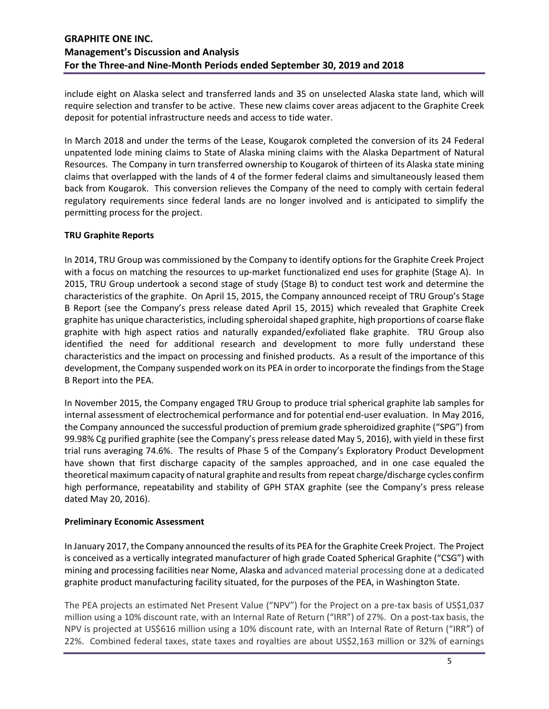include eight on Alaska select and transferred lands and 35 on unselected Alaska state land, which will require selection and transfer to be active. These new claims cover areas adjacent to the Graphite Creek deposit for potential infrastructure needs and access to tide water.

In March 2018 and under the terms of the Lease, Kougarok completed the conversion of its 24 Federal unpatented lode mining claims to State of Alaska mining claims with the Alaska Department of Natural Resources. The Company in turn transferred ownership to Kougarok of thirteen of its Alaska state mining claims that overlapped with the lands of 4 of the former federal claims and simultaneously leased them back from Kougarok. This conversion relieves the Company of the need to comply with certain federal regulatory requirements since federal lands are no longer involved and is anticipated to simplify the permitting process for the project.

### **TRU Graphite Reports**

In 2014, TRU Group was commissioned by the Company to identify options for the Graphite Creek Project with a focus on matching the resources to up-market functionalized end uses for graphite (Stage A). In 2015, TRU Group undertook a second stage of study (Stage B) to conduct test work and determine the characteristics of the graphite. On April 15, 2015, the Company announced receipt of TRU Group's Stage B Report (see the Company's press release dated April 15, 2015) which revealed that Graphite Creek graphite has unique characteristics, including spheroidal shaped graphite, high proportions of coarse flake graphite with high aspect ratios and naturally expanded/exfoliated flake graphite. TRU Group also identified the need for additional research and development to more fully understand these characteristics and the impact on processing and finished products. As a result of the importance of this development, the Company suspended work on its PEA in order to incorporate the findings from the Stage B Report into the PEA.

In November 2015, the Company engaged TRU Group to produce trial spherical graphite lab samples for internal assessment of electrochemical performance and for potential end-user evaluation. In May 2016, the Company announced the successful production of premium grade spheroidized graphite ("SPG") from 99.98% Cg purified graphite (see the Company's press release dated May 5, 2016), with yield in these first trial runs averaging 74.6%. The results of Phase 5 of the Company's Exploratory Product Development have shown that first discharge capacity of the samples approached, and in one case equaled the theoretical maximum capacity of natural graphite and results from repeat charge/discharge cycles confirm high performance, repeatability and stability of GPH STAX graphite (see the Company's press release dated May 20, 2016).

#### **Preliminary Economic Assessment**

In January 2017, the Company announced the results of its PEA for the Graphite Creek Project. The Project is conceived as a vertically integrated manufacturer of high grade Coated Spherical Graphite ("CSG") with mining and processing facilities near Nome, Alaska and advanced material processing done at a dedicated graphite product manufacturing facility situated, for the purposes of the PEA, in Washington State.

The PEA projects an estimated Net Present Value ("NPV") for the Project on a pre-tax basis of US\$1,037 million using a 10% discount rate, with an Internal Rate of Return ("IRR") of 27%. On a post-tax basis, the NPV is projected at US\$616 million using a 10% discount rate, with an Internal Rate of Return ("IRR") of 22%. Combined federal taxes, state taxes and royalties are about US\$2,163 million or 32% of earnings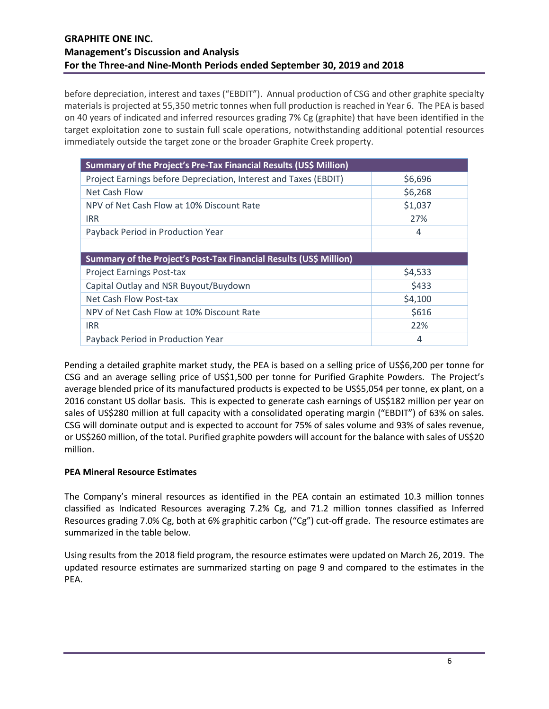before depreciation, interest and taxes ("EBDIT"). Annual production of CSG and other graphite specialty materials is projected at 55,350 metric tonnes when full production is reached in Year 6. The PEA is based on 40 years of indicated and inferred resources grading 7% Cg (graphite) that have been identified in the target exploitation zone to sustain full scale operations, notwithstanding additional potential resources immediately outside the target zone or the broader Graphite Creek property.

| Summary of the Project's Pre-Tax Financial Results (US\$ Million)  |         |  |  |  |  |
|--------------------------------------------------------------------|---------|--|--|--|--|
| Project Earnings before Depreciation, Interest and Taxes (EBDIT)   | \$6,696 |  |  |  |  |
| Net Cash Flow                                                      | \$6,268 |  |  |  |  |
| NPV of Net Cash Flow at 10% Discount Rate                          | \$1,037 |  |  |  |  |
| <b>IRR</b>                                                         | 27%     |  |  |  |  |
| Payback Period in Production Year                                  | 4       |  |  |  |  |
|                                                                    |         |  |  |  |  |
|                                                                    |         |  |  |  |  |
| Summary of the Project's Post-Tax Financial Results (US\$ Million) |         |  |  |  |  |
| <b>Project Earnings Post-tax</b>                                   | \$4,533 |  |  |  |  |
| Capital Outlay and NSR Buyout/Buydown                              | \$433   |  |  |  |  |
| Net Cash Flow Post-tax                                             | \$4,100 |  |  |  |  |
| NPV of Net Cash Flow at 10% Discount Rate                          | \$616   |  |  |  |  |
| <b>IRR</b>                                                         | 22%     |  |  |  |  |

Pending a detailed graphite market study, the PEA is based on a selling price of US\$6,200 per tonne for CSG and an average selling price of US\$1,500 per tonne for Purified Graphite Powders. The Project's average blended price of its manufactured products is expected to be US\$5,054 per tonne, ex plant, on a 2016 constant US dollar basis. This is expected to generate cash earnings of US\$182 million per year on sales of US\$280 million at full capacity with a consolidated operating margin ("EBDIT") of 63% on sales. CSG will dominate output and is expected to account for 75% of sales volume and 93% of sales revenue, or US\$260 million, of the total. Purified graphite powders will account for the balance with sales of US\$20 million.

# **PEA Mineral Resource Estimates**

The Company's mineral resources as identified in the PEA contain an estimated 10.3 million tonnes classified as Indicated Resources averaging 7.2% Cg, and 71.2 million tonnes classified as Inferred Resources grading 7.0% Cg, both at 6% graphitic carbon ("Cg") cut-off grade. The resource estimates are summarized in the table below.

Using results from the 2018 field program, the resource estimates were updated on March 26, 2019. The updated resource estimates are summarized starting on page 9 and compared to the estimates in the PEA.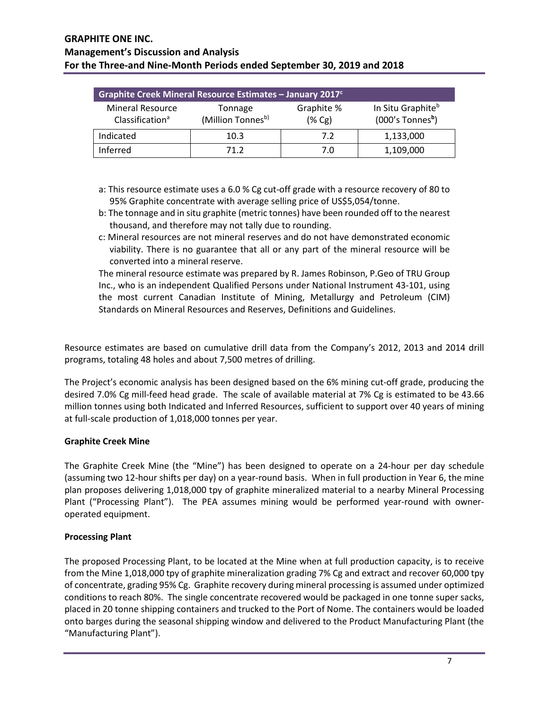| Graphite Creek Mineral Resource Estimates - January 2017 <sup>c</sup> |                              |                         |                                                                 |  |  |  |  |
|-----------------------------------------------------------------------|------------------------------|-------------------------|-----------------------------------------------------------------|--|--|--|--|
| <b>Mineral Resource</b><br>Classification <sup>a</sup>                | Tonnage<br>(Million Tonnesb) | Graphite %<br>$(\% Cg)$ | In Situ Graphite <sup>b</sup><br>$(000's$ Tonnes <sup>b</sup> ) |  |  |  |  |
| Indicated                                                             | 10.3                         | 7.2                     | 1,133,000                                                       |  |  |  |  |
| Inferred                                                              | 71 2                         | 7.0                     | 1,109,000                                                       |  |  |  |  |

- a: This resource estimate uses a 6.0 % Cg cut-off grade with a resource recovery of 80 to 95% Graphite concentrate with average selling price of US\$5,054/tonne.
- b: The tonnage and in situ graphite (metric tonnes) have been rounded off to the nearest thousand, and therefore may not tally due to rounding.
- c: Mineral resources are not mineral reserves and do not have demonstrated economic viability. There is no guarantee that all or any part of the mineral resource will be converted into a mineral reserve.

The mineral resource estimate was prepared by R. James Robinson, P.Geo of TRU Group Inc., who is an independent Qualified Persons under National Instrument 43-101, using the most current Canadian Institute of Mining, Metallurgy and Petroleum (CIM) Standards on Mineral Resources and Reserves, Definitions and Guidelines.

Resource estimates are based on cumulative drill data from the Company's 2012, 2013 and 2014 drill programs, totaling 48 holes and about 7,500 metres of drilling.

The Project's economic analysis has been designed based on the 6% mining cut-off grade, producing the desired 7.0% Cg mill-feed head grade. The scale of available material at 7% Cg is estimated to be 43.66 million tonnes using both Indicated and Inferred Resources, sufficient to support over 40 years of mining at full-scale production of 1,018,000 tonnes per year.

# **Graphite Creek Mine**

The Graphite Creek Mine (the "Mine") has been designed to operate on a 24-hour per day schedule (assuming two 12-hour shifts per day) on a year-round basis. When in full production in Year 6, the mine plan proposes delivering 1,018,000 tpy of graphite mineralized material to a nearby Mineral Processing Plant ("Processing Plant"). The PEA assumes mining would be performed year-round with owneroperated equipment.

#### **Processing Plant**

The proposed Processing Plant, to be located at the Mine when at full production capacity, is to receive from the Mine 1,018,000 tpy of graphite mineralization grading 7% Cg and extract and recover 60,000 tpy of concentrate, grading 95% Cg. Graphite recovery during mineral processing is assumed under optimized conditions to reach 80%. The single concentrate recovered would be packaged in one tonne super sacks, placed in 20 tonne shipping containers and trucked to the Port of Nome. The containers would be loaded onto barges during the seasonal shipping window and delivered to the Product Manufacturing Plant (the "Manufacturing Plant").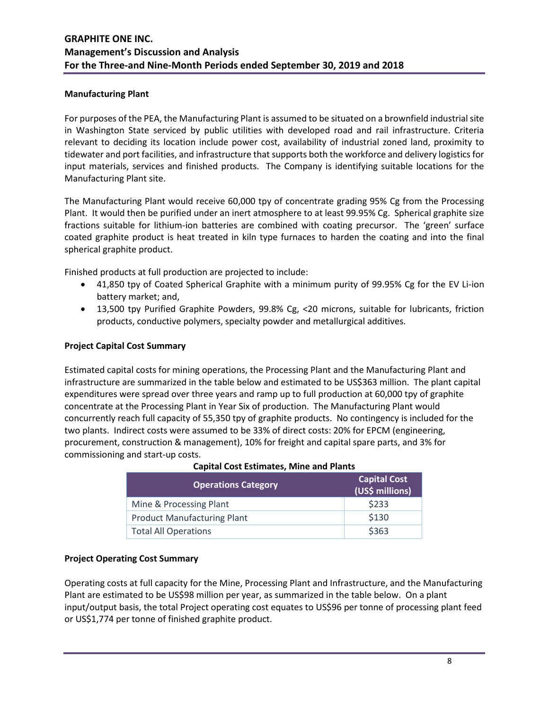#### **Manufacturing Plant**

For purposes of the PEA, the Manufacturing Plant is assumed to be situated on a brownfield industrial site in Washington State serviced by public utilities with developed road and rail infrastructure. Criteria relevant to deciding its location include power cost, availability of industrial zoned land, proximity to tidewater and port facilities, and infrastructure that supports both the workforce and delivery logistics for input materials, services and finished products. The Company is identifying suitable locations for the Manufacturing Plant site.

The Manufacturing Plant would receive 60,000 tpy of concentrate grading 95% Cg from the Processing Plant. It would then be purified under an inert atmosphere to at least 99.95% Cg. Spherical graphite size fractions suitable for lithium-ion batteries are combined with coating precursor. The 'green' surface coated graphite product is heat treated in kiln type furnaces to harden the coating and into the final spherical graphite product.

Finished products at full production are projected to include:

- 41,850 tpy of Coated Spherical Graphite with a minimum purity of 99.95% Cg for the EV Li-ion battery market; and,
- 13,500 tpy Purified Graphite Powders, 99.8% Cg, <20 microns, suitable for lubricants, friction products, conductive polymers, specialty powder and metallurgical additives.

### **Project Capital Cost Summary**

Estimated capital costs for mining operations, the Processing Plant and the Manufacturing Plant and infrastructure are summarized in the table below and estimated to be US\$363 million. The plant capital expenditures were spread over three years and ramp up to full production at 60,000 tpy of graphite concentrate at the Processing Plant in Year Six of production. The Manufacturing Plant would concurrently reach full capacity of 55,350 tpy of graphite products. No contingency is included for the two plants. Indirect costs were assumed to be 33% of direct costs: 20% for EPCM (engineering, procurement, construction & management), 10% for freight and capital spare parts, and 3% for commissioning and start-up costs.

| <b>Operations Category</b>         | <b>Capital Cost</b><br>(US\$ millions) |
|------------------------------------|----------------------------------------|
| Mine & Processing Plant            | \$233                                  |
| <b>Product Manufacturing Plant</b> | \$130                                  |
| <b>Total All Operations</b>        | \$363                                  |

#### **Capital Cost Estimates, Mine and Plants**

#### **Project Operating Cost Summary**

Operating costs at full capacity for the Mine, Processing Plant and Infrastructure, and the Manufacturing Plant are estimated to be US\$98 million per year, as summarized in the table below. On a plant input/output basis, the total Project operating cost equates to US\$96 per tonne of processing plant feed or US\$1,774 per tonne of finished graphite product.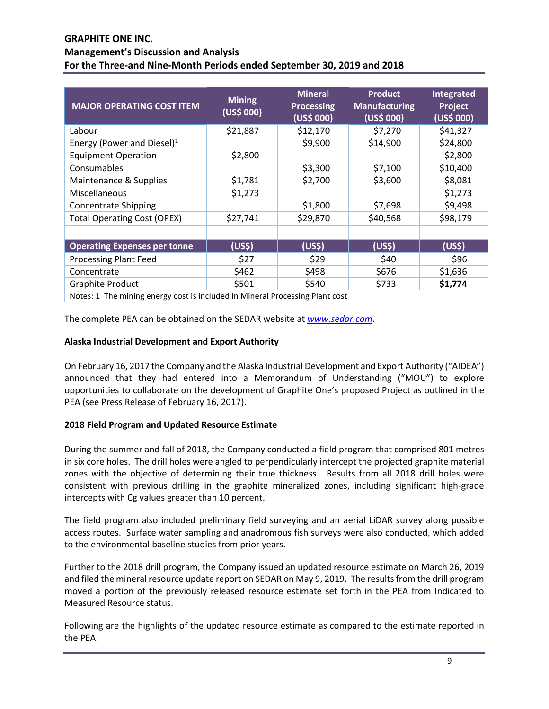| <b>MAJOR OPERATING COST ITEM</b>                                             | <b>Mining</b><br>(US\$000) | <b>Mineral</b><br><b>Processing</b><br>(US\$ 000) | <b>Product</b><br><b>Manufacturing</b><br>(US\$000) | Integrated<br>Project<br>(US\$ 000) |
|------------------------------------------------------------------------------|----------------------------|---------------------------------------------------|-----------------------------------------------------|-------------------------------------|
| Labour                                                                       | \$21,887                   | \$12,170                                          | \$7,270                                             | \$41,327                            |
| Energy (Power and Diesel) <sup>1</sup>                                       |                            | \$9,900                                           | \$14,900                                            | \$24,800                            |
| <b>Equipment Operation</b>                                                   | \$2,800                    |                                                   |                                                     | \$2,800                             |
| Consumables                                                                  |                            | \$3,300                                           | \$7,100                                             | \$10,400                            |
| Maintenance & Supplies                                                       | \$1,781                    | \$2,700                                           | \$3,600                                             | \$8,081                             |
| Miscellaneous                                                                | \$1,273                    |                                                   |                                                     | \$1,273                             |
| <b>Concentrate Shipping</b>                                                  |                            | \$1,800                                           | \$7,698                                             | \$9,498                             |
| <b>Total Operating Cost (OPEX)</b>                                           | \$27,741                   | \$29,870                                          | \$40,568                                            | \$98,179                            |
|                                                                              |                            |                                                   |                                                     |                                     |
| <b>Operating Expenses per tonne</b>                                          | (US <sup>5</sup> )         | (US <sup>5</sup> )                                | (US <sub>5</sub> )                                  | (US <sub>5</sub> )                  |
| <b>Processing Plant Feed</b>                                                 | \$27                       | \$29                                              | \$40                                                | \$96                                |
| Concentrate                                                                  | \$462                      | \$498                                             | \$676                                               | \$1,636                             |
| <b>Graphite Product</b>                                                      | \$501                      | \$540                                             | \$733                                               | \$1,774                             |
| Notes: 1 The mining energy cost is included in Mineral Processing Plant cost |                            |                                                   |                                                     |                                     |

The complete PEA can be obtained on the SEDAR website at *[www.sedar.com](https://www.sedar.com/search/search_form_pc_en.htm)*.

# **Alaska Industrial Development and Export Authority**

On February 16, 2017 the Company and the Alaska Industrial Development and Export Authority ("AIDEA") announced that they had entered into a Memorandum of Understanding ("MOU") to explore opportunities to collaborate on the development of Graphite One's proposed Project as outlined in the PEA (see Press Release of February 16, 2017).

# **2018 Field Program and Updated Resource Estimate**

During the summer and fall of 2018, the Company conducted a field program that comprised 801 metres in six core holes. The drill holes were angled to perpendicularly intercept the projected graphite material zones with the objective of determining their true thickness. Results from all 2018 drill holes were consistent with previous drilling in the graphite mineralized zones, including significant high-grade intercepts with Cg values greater than 10 percent.

The field program also included preliminary field surveying and an aerial LiDAR survey along possible access routes. Surface water sampling and anadromous fish surveys were also conducted, which added to the environmental baseline studies from prior years.

Further to the 2018 drill program, the Company issued an updated resource estimate on March 26, 2019 and filed the mineral resource update report on SEDAR on May 9, 2019. The results from the drill program moved a portion of the previously released resource estimate set forth in the PEA from Indicated to Measured Resource status.

Following are the highlights of the updated resource estimate as compared to the estimate reported in the PEA.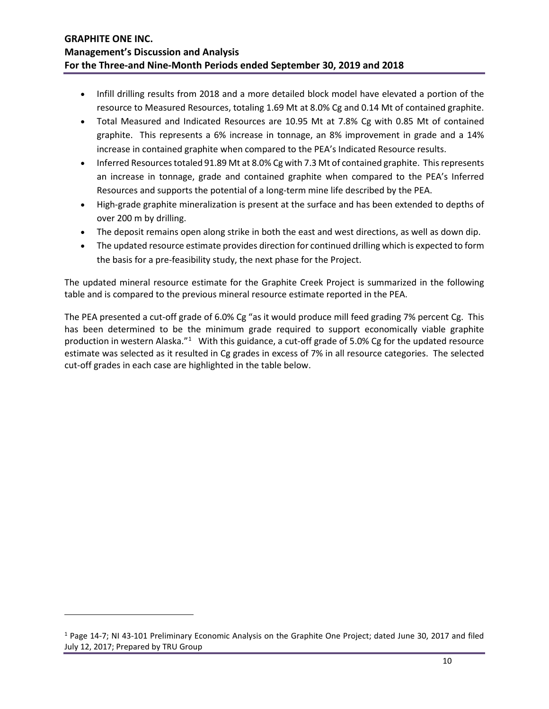- Infill drilling results from 2018 and a more detailed block model have elevated a portion of the resource to Measured Resources, totaling 1.69 Mt at 8.0% Cg and 0.14 Mt of contained graphite.
- Total Measured and Indicated Resources are 10.95 Mt at 7.8% Cg with 0.85 Mt of contained graphite. This represents a 6% increase in tonnage, an 8% improvement in grade and a 14% increase in contained graphite when compared to the PEA's Indicated Resource results.
- Inferred Resources totaled 91.89 Mt at 8.0% Cg with 7.3 Mt of contained graphite. This represents an increase in tonnage, grade and contained graphite when compared to the PEA's Inferred Resources and supports the potential of a long-term mine life described by the PEA.
- High-grade graphite mineralization is present at the surface and has been extended to depths of over 200 m by drilling.
- The deposit remains open along strike in both the east and west directions, as well as down dip.
- The updated resource estimate provides direction for continued drilling which is expected to form the basis for a pre-feasibility study, the next phase for the Project.

The updated mineral resource estimate for the Graphite Creek Project is summarized in the following table and is compared to the previous mineral resource estimate reported in the PEA.

The PEA presented a cut-off grade of 6.0% Cg "as it would produce mill feed grading 7% percent Cg. This has been determined to be the minimum grade required to support economically viable graphite production in western Alaska."<sup>[1](#page-9-0)</sup> With this guidance, a cut-off grade of 5.0% Cg for the updated resource estimate was selected as it resulted in Cg grades in excess of 7% in all resource categories. The selected cut-off grades in each case are highlighted in the table below.

<span id="page-9-0"></span><sup>1</sup> Page 14-7; NI 43-101 Preliminary Economic Analysis on the Graphite One Project; dated June 30, 2017 and filed July 12, 2017; Prepared by TRU Group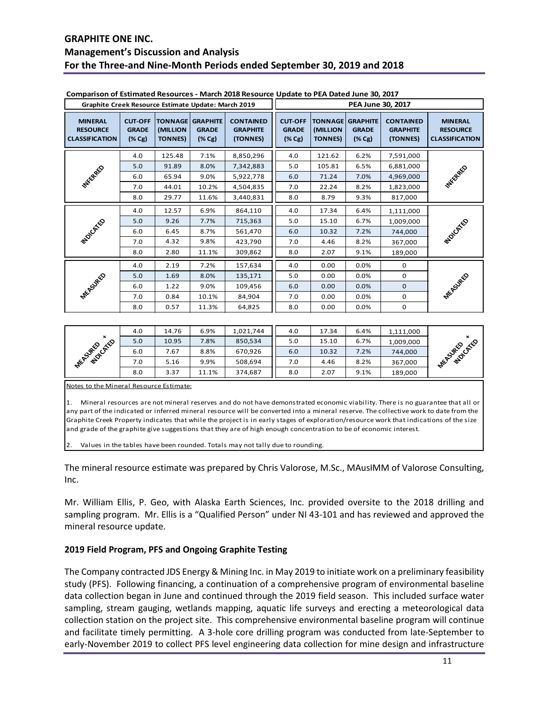|                                                            | Graphite Creek Resource Estimate Update: March 2019   |                                              |                                                  |                                                 |                                                       |                                                       | PEA June 30, 2017                   |                                                 |                                                            |
|------------------------------------------------------------|-------------------------------------------------------|----------------------------------------------|--------------------------------------------------|-------------------------------------------------|-------------------------------------------------------|-------------------------------------------------------|-------------------------------------|-------------------------------------------------|------------------------------------------------------------|
| <b>MINERAL</b><br><b>RESOURCE</b><br><b>CLASSIFICATION</b> | <b>CUT-OFF</b><br><b>GRADE</b><br>$(\% \, \text{Cg})$ | <b>TONNAGE</b><br>(MILLION<br><b>TONNES)</b> | <b>GRAPHITE</b><br><b>GRADE</b><br>$(%$ $(*$ Cg) | <b>CONTAINED</b><br><b>GRAPHITE</b><br>(TONNES) | <b>CUT-OFF</b><br><b>GRADE</b><br>$(\% \, \text{Cg})$ | <b>TONNAGE GRAPHITE</b><br>(MILLION<br><b>TONNES)</b> | <b>GRADE</b><br>$(\% \, \text{Cg})$ | <b>CONTAINED</b><br><b>GRAPHITE</b><br>(TONNES) | <b>MINERAL</b><br><b>RESOURCE</b><br><b>CLASSIFICATION</b> |
|                                                            | 4.0                                                   | 125.48                                       | 7.1%                                             | 8,850,296                                       | 4.0                                                   | 121.62                                                | 6.2%                                | 7,591,000                                       |                                                            |
|                                                            | 5.0                                                   | 91.89                                        | 8.0%                                             | 7,342,883                                       | 5.0                                                   | 105.81                                                | 6.5%                                | 6,881,000                                       |                                                            |
| WESTERFELD                                                 | 6.0                                                   | 65.94                                        | 9.0%                                             | 5,922,778                                       | 6.0                                                   | 71.24                                                 | 7.0%                                | 4,969,000                                       | <b>WYSCRAFE</b>                                            |
|                                                            | 7.0                                                   | 44.01                                        | 10.2%                                            | 4,504,835                                       | 7.0                                                   | 22.24                                                 | 8.2%                                | 1,823,000                                       |                                                            |
|                                                            | 8.0                                                   | 29.77                                        | 11.6%                                            | 3,440,831                                       | 8.0                                                   | 8.79                                                  | 9.3%                                | 817,000                                         |                                                            |
|                                                            | 4.0                                                   | 12.57                                        | 6.9%                                             | 864,110                                         | 4.0                                                   | 17.34                                                 | 6.4%                                | 1,111,000                                       |                                                            |
|                                                            | 5.0                                                   | 9.26                                         | 7.7%                                             | 715,363                                         | 5.0                                                   | 15.10                                                 | 6.7%                                | 1,009,000                                       |                                                            |
| <b>MOVOSTEE</b>                                            | 6.0                                                   | 6.45                                         | 8.7%                                             | 561,470                                         | 6.0                                                   | 10.32                                                 | 7.2%                                | 744,000                                         | <b>PEOLOGY</b> CO                                          |
|                                                            | 7.0                                                   | 4.32                                         | 9.8%                                             | 423,790                                         | 7.0                                                   | 4.46                                                  | 8.2%                                | 367,000                                         |                                                            |
|                                                            | 8.0                                                   | 2.80                                         | 11.1%                                            | 309,862                                         | 8.0                                                   | 2.07                                                  | 9.1%                                | 189,000                                         |                                                            |
|                                                            | 4.0                                                   | 2.19                                         | 7.2%                                             | 157,634                                         | 4.0                                                   | 0.00                                                  | 0.0%                                | 0                                               |                                                            |
|                                                            | 5.0                                                   | 1.69                                         | 8.0%                                             | 135,171                                         | 5.0                                                   | 0.00                                                  | 0.0%                                | 0                                               |                                                            |
| <b>MEASURED</b>                                            | 6.0                                                   | 1.22                                         | 9.0%                                             | 109,456                                         | 6.0                                                   | 0.00                                                  | 0.0%                                | 0                                               |                                                            |
|                                                            | 7.0                                                   | 0.84                                         | 10.1%                                            | 84,904                                          | 7.0                                                   | 0.00                                                  | 0.0%                                | 0                                               | <b>MEASURED</b>                                            |
|                                                            | 8.0                                                   | 0.57                                         | 11.3%                                            | 64,825                                          | 8.0                                                   | 0.00                                                  | 0.0%                                | 0                                               |                                                            |

#### **Comparison of Estimated Resources - March 2018 Resource Update to PEA Dated June 30, 2017**

|                 | 4.0 | 14.76 | 6.9%  | 1,021,744 | 4.0 | 17.34 | 6.4% | 1,111,000 |                 |
|-----------------|-----|-------|-------|-----------|-----|-------|------|-----------|-----------------|
| $\mathbf{x}$    | 5.0 | 10.95 | .8%   | 850,534   | 5.0 | 15.10 | 6.7% | 1,009,000 | $\pmb{\times}$  |
| <b>MUDICATE</b> | 6.0 | .67   | 8.8%  | 670,926   | 6.0 | 10.32 | 7.2% | 744,000   | <b>MOVEMED</b>  |
| <b>MEASURED</b> | 7.0 | 5.16  | 9.9%  | 508,694   | 7.0 | 4.46  | 8.2% | 367,000   | <b>MEASURED</b> |
|                 | 8.0 | 3.37  | 11.1% | 374,687   | 8.0 | 2.07  | 9.1% | 189,000   |                 |

Notes to the Mineral Resource Estimate:

1. Mineral resources are not mineral reserves and do not have demonstrated economic viability. There is no guarantee that all or any part of the indicated or inferred mineral resource will be converted into a mineral reserve. The collective work to date from the Graphite Creek Property indicates that while the project is in early stages of exploration/resource work that indications of the size and grade of the graphite give suggestions that they are of high enough concentration to be of economic interest.

Values in the tables have been rounded. Totals may not tally due to rounding.

The mineral resource estimate was prepared by Chris Valorose, M.Sc., MAusIMM of Valorose Consulting, Inc.

Mr. William Ellis, P. Geo, with Alaska Earth Sciences, Inc. provided oversite to the 2018 drilling and sampling program. Mr. Ellis is a "Qualified Person" under NI 43-101 and has reviewed and approved the mineral resource update.

#### **2019 Field Program, PFS and Ongoing Graphite Testing**

The Company contracted JDS Energy & Mining Inc. in May 2019 to initiate work on a preliminary feasibility study (PFS). Following financing, a continuation of a comprehensive program of environmental baseline data collection began in June and continued through the 2019 field season. This included surface water sampling, stream gauging, wetlands mapping, aquatic life surveys and erecting a meteorological data collection station on the project site. This comprehensive environmental baseline program will continue and facilitate timely permitting. A 3-hole core drilling program was conducted from late-September to early-November 2019 to collect PFS level engineering data collection for mine design and infrastructure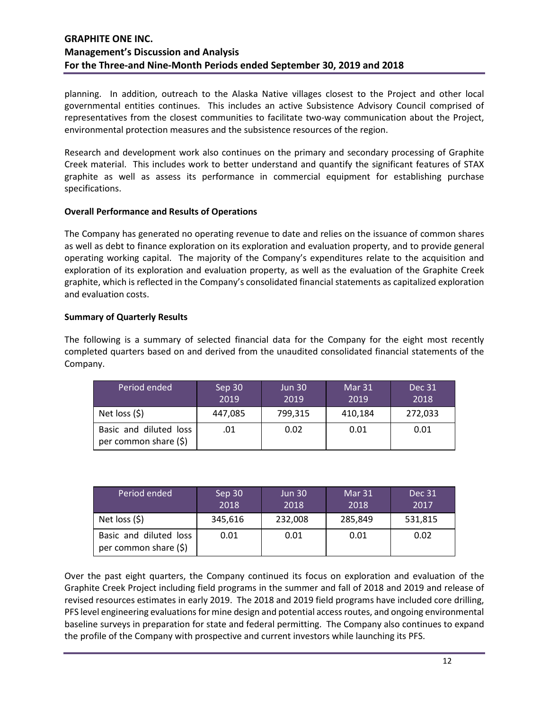planning. In addition, outreach to the Alaska Native villages closest to the Project and other local governmental entities continues. This includes an active Subsistence Advisory Council comprised of representatives from the closest communities to facilitate two-way communication about the Project, environmental protection measures and the subsistence resources of the region.

Research and development work also continues on the primary and secondary processing of Graphite Creek material. This includes work to better understand and quantify the significant features of STAX graphite as well as assess its performance in commercial equipment for establishing purchase specifications.

### **Overall Performance and Results of Operations**

The Company has generated no operating revenue to date and relies on the issuance of common shares as well as debt to finance exploration on its exploration and evaluation property, and to provide general operating working capital. The majority of the Company's expenditures relate to the acquisition and exploration of its exploration and evaluation property, as well as the evaluation of the Graphite Creek graphite, which is reflected in the Company's consolidated financial statements as capitalized exploration and evaluation costs.

# **Summary of Quarterly Results**

The following is a summary of selected financial data for the Company for the eight most recently completed quarters based on and derived from the unaudited consolidated financial statements of the Company.

| Period ended                                    | Sep 30<br>2019 | <b>Jun 30</b><br>2019 | Mar 31<br>2019 | Dec 31<br>2018 |
|-------------------------------------------------|----------------|-----------------------|----------------|----------------|
| Net loss $(5)$                                  | 447,085        | 799,315               | 410,184        | 272,033        |
| Basic and diluted loss<br>per common share (\$) | .01            | 0.02                  | 0.01           | 0.01           |

| Period ended                                    | Sep 30<br>2018 | <b>Jun 30</b><br>2018 | Mar 31<br>2018 | Dec 31<br>2017 |
|-------------------------------------------------|----------------|-----------------------|----------------|----------------|
| Net loss $(5)$                                  | 345,616        | 232,008               | 285,849        | 531,815        |
| Basic and diluted loss<br>per common share (\$) | 0.01           | 0.01                  | 0.01           | 0.02           |

Over the past eight quarters, the Company continued its focus on exploration and evaluation of the Graphite Creek Project including field programs in the summer and fall of 2018 and 2019 and release of revised resources estimates in early 2019. The 2018 and 2019 field programs have included core drilling, PFS level engineering evaluations for mine design and potential access routes, and ongoing environmental baseline surveys in preparation for state and federal permitting. The Company also continues to expand the profile of the Company with prospective and current investors while launching its PFS.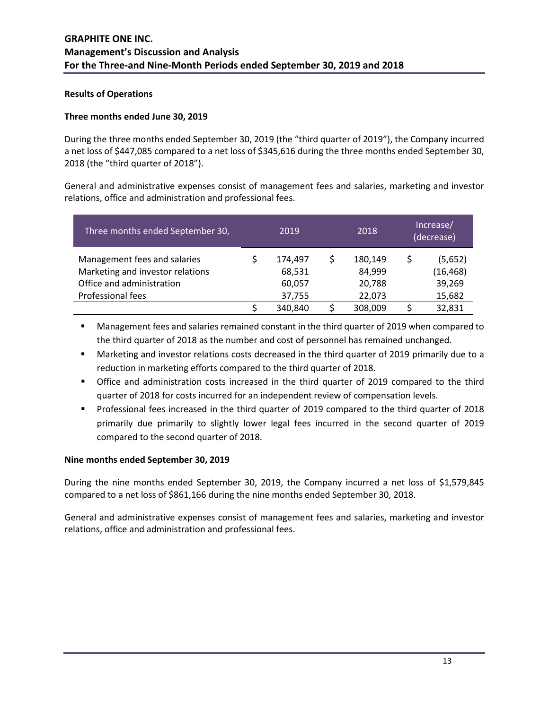#### **Results of Operations**

#### **Three months ended June 30, 2019**

During the three months ended September 30, 2019 (the "third quarter of 2019"), the Company incurred a net loss of \$447,085 compared to a net loss of \$345,616 during the three months ended September 30, 2018 (the "third quarter of 2018").

General and administrative expenses consist of management fees and salaries, marketing and investor relations, office and administration and professional fees.

| Three months ended September 30, | 2019    | 2018    | Increase/<br>(decrease) |
|----------------------------------|---------|---------|-------------------------|
| Management fees and salaries     | 174.497 | 180,149 | (5,652)                 |
| Marketing and investor relations | 68,531  | 84,999  | (16,468)                |
| Office and administration        | 60,057  | 20,788  | 39,269                  |
| Professional fees                | 37,755  | 22,073  | 15,682                  |
|                                  | 340,840 | 308,009 | 32,831                  |

**Management fees and salaries remained constant in the third quarter of 2019 when compared to** the third quarter of 2018 as the number and cost of personnel has remained unchanged.

- Marketing and investor relations costs decreased in the third quarter of 2019 primarily due to a reduction in marketing efforts compared to the third quarter of 2018.
- Office and administration costs increased in the third quarter of 2019 compared to the third quarter of 2018 for costs incurred for an independent review of compensation levels.
- Professional fees increased in the third quarter of 2019 compared to the third quarter of 2018 primarily due primarily to slightly lower legal fees incurred in the second quarter of 2019 compared to the second quarter of 2018.

#### **Nine months ended September 30, 2019**

During the nine months ended September 30, 2019, the Company incurred a net loss of \$1,579,845 compared to a net loss of \$861,166 during the nine months ended September 30, 2018.

General and administrative expenses consist of management fees and salaries, marketing and investor relations, office and administration and professional fees.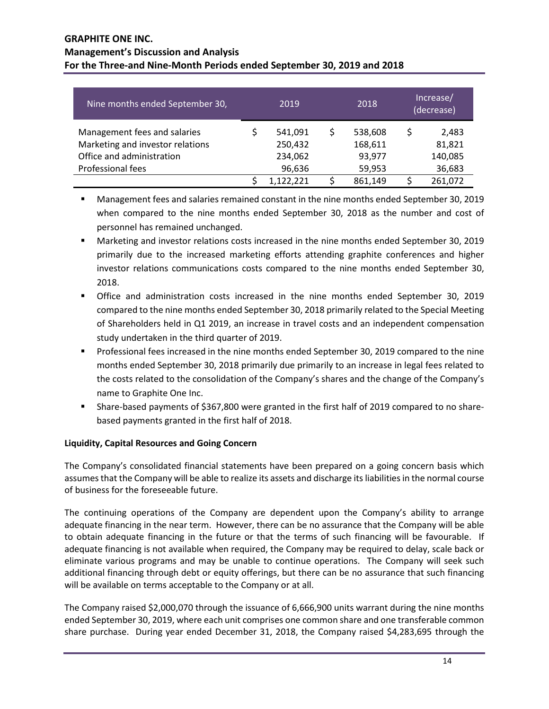| Nine months ended September 30,                                  | 2019               | 2018               |   | Increase/<br>(decrease) |
|------------------------------------------------------------------|--------------------|--------------------|---|-------------------------|
| Management fees and salaries<br>Marketing and investor relations | 541,091<br>250,432 | 538,608<br>168,611 | Ś | 2,483<br>81,821         |
| Office and administration<br>Professional fees                   | 234,062<br>96,636  | 93,977<br>59,953   |   | 140,085<br>36,683       |
|                                                                  | 1,122,221          | 861,149            |   | 261,072                 |

 Management fees and salaries remained constant in the nine months ended September 30, 2019 when compared to the nine months ended September 30, 2018 as the number and cost of personnel has remained unchanged.

- Marketing and investor relations costs increased in the nine months ended September 30, 2019 primarily due to the increased marketing efforts attending graphite conferences and higher investor relations communications costs compared to the nine months ended September 30, 2018.
- Office and administration costs increased in the nine months ended September 30, 2019 compared to the nine months ended September 30, 2018 primarily related to the Special Meeting of Shareholders held in Q1 2019, an increase in travel costs and an independent compensation study undertaken in the third quarter of 2019.
- Professional fees increased in the nine months ended September 30, 2019 compared to the nine months ended September 30, 2018 primarily due primarily to an increase in legal fees related to the costs related to the consolidation of the Company's shares and the change of the Company's name to Graphite One Inc.
- Share-based payments of \$367,800 were granted in the first half of 2019 compared to no sharebased payments granted in the first half of 2018.

# **Liquidity, Capital Resources and Going Concern**

The Company's consolidated financial statements have been prepared on a going concern basis which assumes that the Company will be able to realize its assets and discharge its liabilities in the normal course of business for the foreseeable future.

The continuing operations of the Company are dependent upon the Company's ability to arrange adequate financing in the near term. However, there can be no assurance that the Company will be able to obtain adequate financing in the future or that the terms of such financing will be favourable. If adequate financing is not available when required, the Company may be required to delay, scale back or eliminate various programs and may be unable to continue operations. The Company will seek such additional financing through debt or equity offerings, but there can be no assurance that such financing will be available on terms acceptable to the Company or at all.

The Company raised \$2,000,070 through the issuance of 6,666,900 units warrant during the nine months ended September 30, 2019, where each unit comprises one common share and one transferable common share purchase. During year ended December 31, 2018, the Company raised \$4,283,695 through the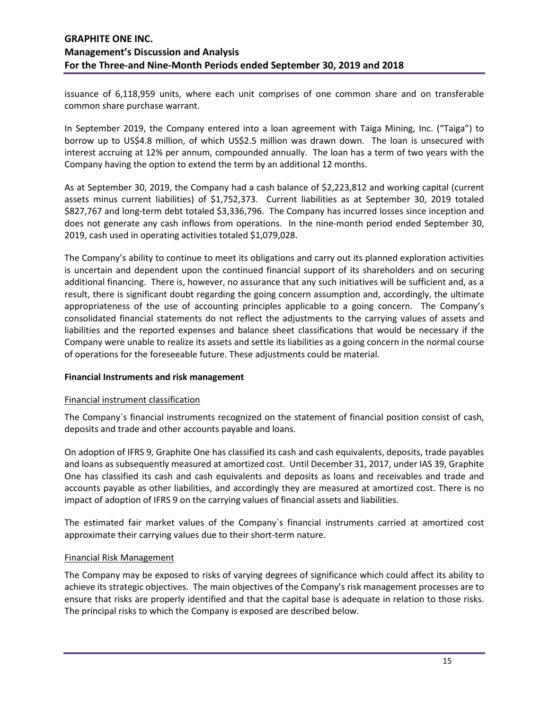issuance of 6,118,959 units, where each unit comprises of one common share and on transferable common share purchase warrant.

In September 2019, the Company entered into a loan agreement with Taiga Mining, Inc. ("Taiga") to borrow up to US\$4.8 million, of which US\$2.5 million was drawn down. The loan is unsecured with interest accruing at 12% per annum, compounded annually. The loan has a term of two years with the Company having the option to extend the term by an additional 12 months.

As at September 30, 2019, the Company had a cash balance of \$2,223,812 and working capital (current assets minus current liabilities) of \$1,752,373. Current liabilities as at September 30, 2019 totaled \$827,767 and long-term debt totaled \$3,336,796. The Company has incurred losses since inception and does not generate any cash inflows from operations. In the nine-month period ended September 30, 2019, cash used in operating activities totaled \$1,079,028.

The Company's ability to continue to meet its obligations and carry out its planned exploration activities is uncertain and dependent upon the continued financial support of its shareholders and on securing additional financing. There is, however, no assurance that any such initiatives will be sufficient and, as a result, there is significant doubt regarding the going concern assumption and, accordingly, the ultimate appropriateness of the use of accounting principles applicable to a going concern. The Company's consolidated financial statements do not reflect the adjustments to the carrying values of assets and liabilities and the reported expenses and balance sheet classifications that would be necessary if the Company were unable to realize its assets and settle its liabilities as a going concern in the normal course of operations for the foreseeable future. These adjustments could be material.

#### **Financial Instruments and risk management**

#### Financial instrument classification

The Company`s financial instruments recognized on the statement of financial position consist of cash, deposits and trade and other accounts payable and loans.

On adoption of IFRS 9, Graphite One has classified its cash and cash equivalents, deposits, trade payables and loans as subsequently measured at amortized cost. Until December 31, 2017, under IAS 39, Graphite One has classified its cash and cash equivalents and deposits as loans and receivables and trade and accounts payable as other liabilities, and accordingly they are measured at amortized cost. There is no impact of adoption of IFRS 9 on the carrying values of financial assets and liabilities.

The estimated fair market values of the Company`s financial instruments carried at amortized cost approximate their carrying values due to their short-term nature.

#### Financial Risk Management

The Company may be exposed to risks of varying degrees of significance which could affect its ability to achieve its strategic objectives. The main objectives of the Company's risk management processes are to ensure that risks are properly identified and that the capital base is adequate in relation to those risks. The principal risks to which the Company is exposed are described below.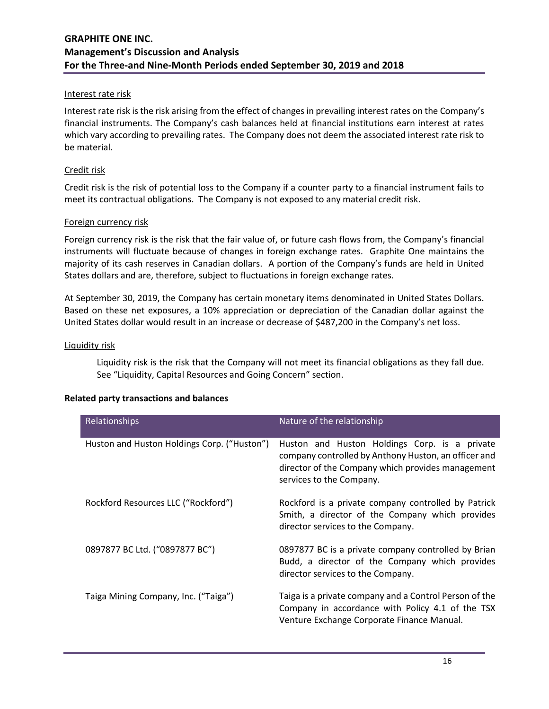#### Interest rate risk

Interest rate risk is the risk arising from the effect of changes in prevailing interest rates on the Company's financial instruments. The Company's cash balances held at financial institutions earn interest at rates which vary according to prevailing rates. The Company does not deem the associated interest rate risk to be material.

### Credit risk

Credit risk is the risk of potential loss to the Company if a counter party to a financial instrument fails to meet its contractual obligations. The Company is not exposed to any material credit risk.

#### Foreign currency risk

Foreign currency risk is the risk that the fair value of, or future cash flows from, the Company's financial instruments will fluctuate because of changes in foreign exchange rates. Graphite One maintains the majority of its cash reserves in Canadian dollars. A portion of the Company's funds are held in United States dollars and are, therefore, subject to fluctuations in foreign exchange rates.

At September 30, 2019, the Company has certain monetary items denominated in United States Dollars. Based on these net exposures, a 10% appreciation or depreciation of the Canadian dollar against the United States dollar would result in an increase or decrease of \$487,200 in the Company's net loss.

#### Liquidity risk

Liquidity risk is the risk that the Company will not meet its financial obligations as they fall due. See "Liquidity, Capital Resources and Going Concern" section.

| <b>Related party transactions and balances</b> |  |
|------------------------------------------------|--|
|------------------------------------------------|--|

| Relationships                               | Nature of the relationship                                                                                                                                                             |
|---------------------------------------------|----------------------------------------------------------------------------------------------------------------------------------------------------------------------------------------|
| Huston and Huston Holdings Corp. ("Huston") | Huston and Huston Holdings Corp. is a private<br>company controlled by Anthony Huston, an officer and<br>director of the Company which provides management<br>services to the Company. |
| Rockford Resources LLC ("Rockford")         | Rockford is a private company controlled by Patrick<br>Smith, a director of the Company which provides<br>director services to the Company.                                            |
| 0897877 BC Ltd. ("0897877 BC")              | 0897877 BC is a private company controlled by Brian<br>Budd, a director of the Company which provides<br>director services to the Company.                                             |
| Taiga Mining Company, Inc. ("Taiga")        | Taiga is a private company and a Control Person of the<br>Company in accordance with Policy 4.1 of the TSX<br>Venture Exchange Corporate Finance Manual.                               |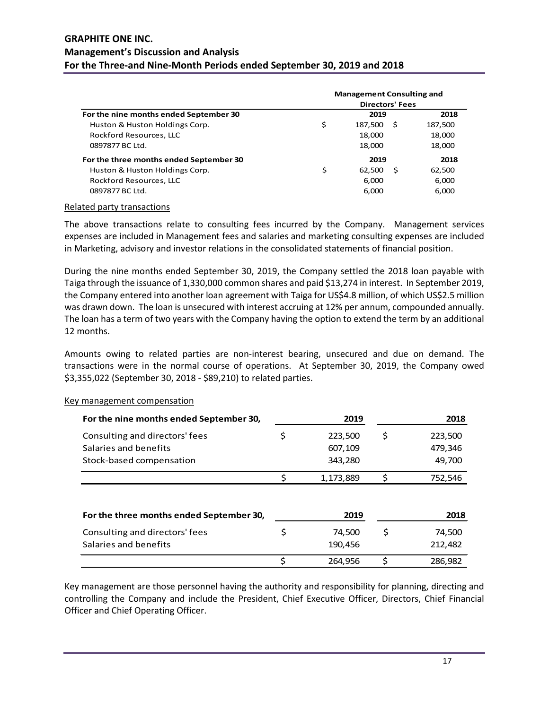|                                         | <b>Management Consulting and</b><br><b>Directors' Fees</b> |               |         |
|-----------------------------------------|------------------------------------------------------------|---------------|---------|
| For the nine months ended September 30  |                                                            | 2019          | 2018    |
| Huston & Huston Holdings Corp.          | \$                                                         | 187.500<br>-S | 187,500 |
| Rockford Resources, LLC                 |                                                            | 18,000        | 18,000  |
| 0897877 BC Ltd.                         |                                                            | 18,000        | 18,000  |
| For the three months ended September 30 |                                                            | 2019          | 2018    |
| Huston & Huston Holdings Corp.          | \$                                                         | 62.500<br>-S  | 62,500  |
| Rockford Resources, LLC                 |                                                            | 6,000         | 6.000   |
| 0897877 BC Ltd.                         |                                                            | 6,000         | 6,000   |

#### Related party transactions

The above transactions relate to consulting fees incurred by the Company. Management services expenses are included in Management fees and salaries and marketing consulting expenses are included in Marketing, advisory and investor relations in the consolidated statements of financial position.

During the nine months ended September 30, 2019, the Company settled the 2018 loan payable with Taiga through the issuance of 1,330,000 common shares and paid \$13,274 in interest. In September 2019, the Company entered into another loan agreement with Taiga for US\$4.8 million, of which US\$2.5 million was drawn down. The loan is unsecured with interest accruing at 12% per annum, compounded annually. The loan has a term of two years with the Company having the option to extend the term by an additional 12 months.

Amounts owing to related parties are non-interest bearing, unsecured and due on demand. The transactions were in the normal course of operations. At September 30, 2019, the Company owed \$3,355,022 (September 30, 2018 - \$89,210) to related parties.

| For the nine months ended September 30,  |    | 2019      |    | 2018    |
|------------------------------------------|----|-----------|----|---------|
| Consulting and directors' fees           | \$ | 223,500   | \$ | 223,500 |
| Salaries and benefits                    |    | 607,109   |    | 479,346 |
| Stock-based compensation                 |    | 343,280   |    | 49,700  |
|                                          | ς  | 1,173,889 | \$ | 752,546 |
|                                          |    |           |    |         |
| For the three months ended September 30, |    | 2019      |    | 2018    |
| Consulting and directors' fees           | \$ | 74,500    | \$ | 74,500  |
| Salaries and benefits                    |    | 190,456   |    | 212,482 |
|                                          | Ś  | 264.956   | S  | 286,982 |

#### Key management compensation

Key management are those personnel having the authority and responsibility for planning, directing and controlling the Company and include the President, Chief Executive Officer, Directors, Chief Financial Officer and Chief Operating Officer.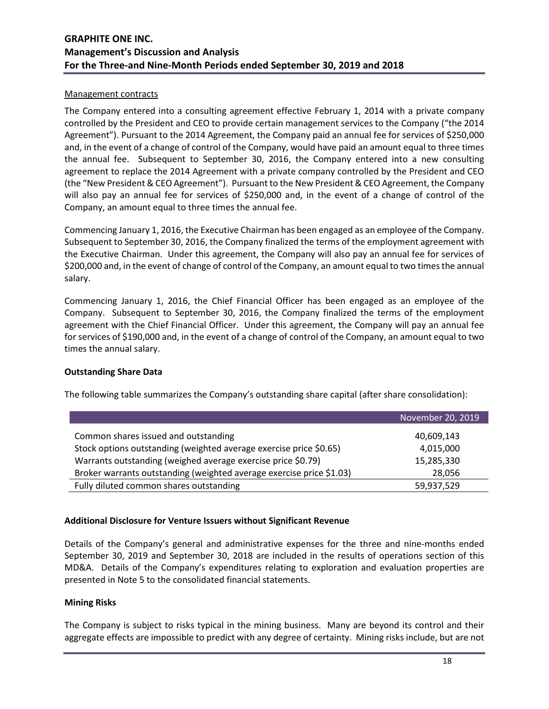#### Management contracts

The Company entered into a consulting agreement effective February 1, 2014 with a private company controlled by the President and CEO to provide certain management services to the Company ("the 2014 Agreement"). Pursuant to the 2014 Agreement, the Company paid an annual fee for services of \$250,000 and, in the event of a change of control of the Company, would have paid an amount equal to three times the annual fee. Subsequent to September 30, 2016, the Company entered into a new consulting agreement to replace the 2014 Agreement with a private company controlled by the President and CEO (the "New President & CEO Agreement"). Pursuant to the New President & CEO Agreement, the Company will also pay an annual fee for services of \$250,000 and, in the event of a change of control of the Company, an amount equal to three times the annual fee.

Commencing January 1, 2016, the Executive Chairman has been engaged as an employee of the Company. Subsequent to September 30, 2016, the Company finalized the terms of the employment agreement with the Executive Chairman. Under this agreement, the Company will also pay an annual fee for services of \$200,000 and, in the event of change of control of the Company, an amount equal to two times the annual salary.

Commencing January 1, 2016, the Chief Financial Officer has been engaged as an employee of the Company. Subsequent to September 30, 2016, the Company finalized the terms of the employment agreement with the Chief Financial Officer. Under this agreement, the Company will pay an annual fee for services of \$190,000 and, in the event of a change of control of the Company, an amount equal to two times the annual salary.

# **Outstanding Share Data**

The following table summarizes the Company's outstanding share capital (after share consolidation):

|                                                                      | November 20, 2019 |
|----------------------------------------------------------------------|-------------------|
| Common shares issued and outstanding                                 | 40,609,143        |
| Stock options outstanding (weighted average exercise price \$0.65)   | 4,015,000         |
| Warrants outstanding (weighed average exercise price \$0.79)         | 15,285,330        |
| Broker warrants outstanding (weighted average exercise price \$1.03) | 28,056            |
| Fully diluted common shares outstanding                              | 59,937,529        |

# **Additional Disclosure for Venture Issuers without Significant Revenue**

Details of the Company's general and administrative expenses for the three and nine-months ended September 30, 2019 and September 30, 2018 are included in the results of operations section of this MD&A. Details of the Company's expenditures relating to exploration and evaluation properties are presented in Note 5 to the consolidated financial statements.

#### **Mining Risks**

The Company is subject to risks typical in the mining business. Many are beyond its control and their aggregate effects are impossible to predict with any degree of certainty. Mining risks include, but are not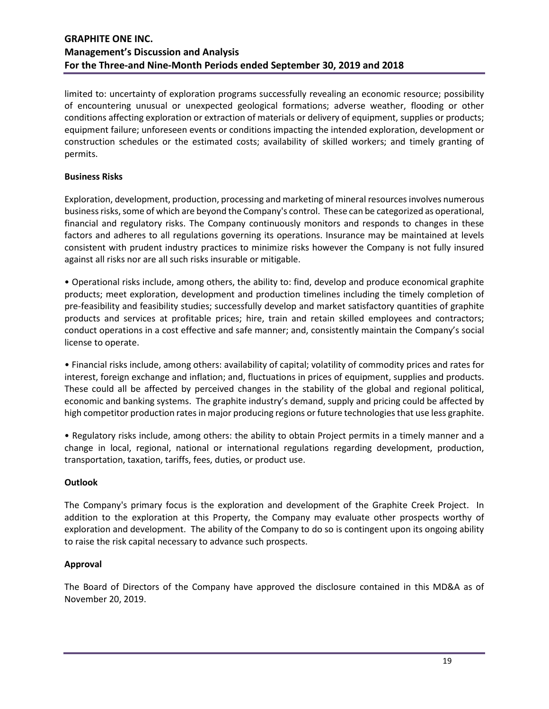limited to: uncertainty of exploration programs successfully revealing an economic resource; possibility of encountering unusual or unexpected geological formations; adverse weather, flooding or other conditions affecting exploration or extraction of materials or delivery of equipment, supplies or products; equipment failure; unforeseen events or conditions impacting the intended exploration, development or construction schedules or the estimated costs; availability of skilled workers; and timely granting of permits.

# **Business Risks**

Exploration, development, production, processing and marketing of mineral resources involves numerous business risks, some of which are beyond the Company's control. These can be categorized as operational, financial and regulatory risks. The Company continuously monitors and responds to changes in these factors and adheres to all regulations governing its operations. Insurance may be maintained at levels consistent with prudent industry practices to minimize risks however the Company is not fully insured against all risks nor are all such risks insurable or mitigable.

• Operational risks include, among others, the ability to: find, develop and produce economical graphite products; meet exploration, development and production timelines including the timely completion of pre-feasibility and feasibility studies; successfully develop and market satisfactory quantities of graphite products and services at profitable prices; hire, train and retain skilled employees and contractors; conduct operations in a cost effective and safe manner; and, consistently maintain the Company's social license to operate.

• Financial risks include, among others: availability of capital; volatility of commodity prices and rates for interest, foreign exchange and inflation; and, fluctuations in prices of equipment, supplies and products. These could all be affected by perceived changes in the stability of the global and regional political, economic and banking systems. The graphite industry's demand, supply and pricing could be affected by high competitor production rates in major producing regions or future technologies that use less graphite.

• Regulatory risks include, among others: the ability to obtain Project permits in a timely manner and a change in local, regional, national or international regulations regarding development, production, transportation, taxation, tariffs, fees, duties, or product use.

# **Outlook**

The Company's primary focus is the exploration and development of the Graphite Creek Project. In addition to the exploration at this Property, the Company may evaluate other prospects worthy of exploration and development. The ability of the Company to do so is contingent upon its ongoing ability to raise the risk capital necessary to advance such prospects.

# **Approval**

The Board of Directors of the Company have approved the disclosure contained in this MD&A as of November 20, 2019.